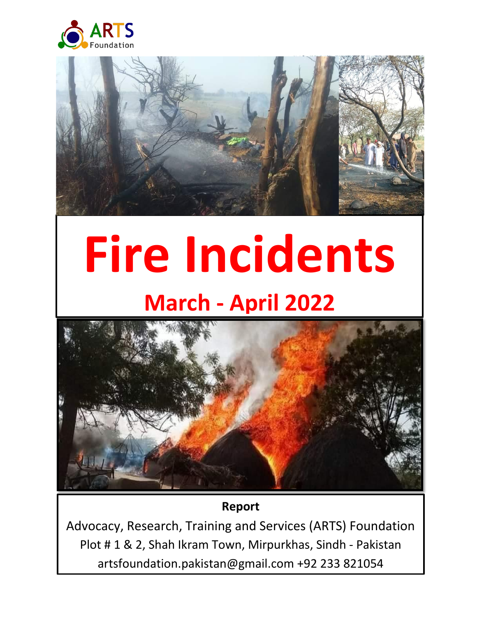



# **Fire Incidents March - April 2022**



# **Report**

Advocacy, Research, Training and Services (ARTS) Foundation Plot # 1 & 2, Shah Ikram Town, Mirpurkhas, Sindh - Pakistan artsfoundation.pakistan@gmail.com +92 233 821054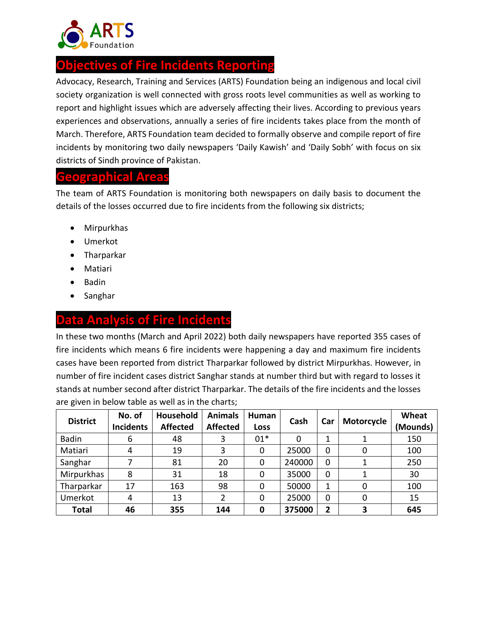

# **Objectives of Fire Incidents Reporting**

Advocacy, Research, Training and Services (ARTS) Foundation being an indigenous and local civil society organization is well connected with gross roots level communities as well as working to report and highlight issues which are adversely affecting their lives. According to previous years experiences and observations, annually a series of fire incidents takes place from the month of March. Therefore, ARTS Foundation team decided to formally observe and compile report of fire incidents by monitoring two daily newspapers 'Daily Kawish' and 'Daily Sobh' with focus on six districts of Sindh province of Pakistan.

#### **Geographical Areas**

The team of ARTS Foundation is monitoring both newspapers on daily basis to document the details of the losses occurred due to fire incidents from the following six districts;

- Mirpurkhas
- Umerkot
- Tharparkar
- Matiari
- Badin
- Sanghar

## **Analysis of Fire Incidents**

In these two months (March and April 2022) both daily newspapers have reported 355 cases of fire incidents which means 6 fire incidents were happening a day and maximum fire incidents cases have been reported from district Tharparkar followed by district Mirpurkhas. However, in number of fire incident cases district Sanghar stands at number third but with regard to losses it stands at number second after district Tharparkar. The details of the fire incidents and the losses are given in below table as well as in the charts;

| <b>District</b> | No. of<br><b>Incidents</b> | Household<br><b>Affected</b> | <b>Animals</b><br><b>Affected</b> | Human<br><b>Loss</b> | Cash     | Car         | Motorcycle | Wheat<br>(Mounds) |
|-----------------|----------------------------|------------------------------|-----------------------------------|----------------------|----------|-------------|------------|-------------------|
| <b>Badin</b>    | 6                          | 48                           | 3                                 | $01*$                | $\Omega$ | 1           |            | 150               |
| Matiari         | 4                          | 19                           | 3                                 | 0                    | 25000    | 0           | 0          | 100               |
| Sanghar         | 7                          | 81                           | 20                                | 0                    | 240000   | 0           |            | 250               |
| Mirpurkhas      | 8                          | 31                           | 18                                | 0                    | 35000    | 0           | 1          | 30                |
| Tharparkar      | 17                         | 163                          | 98                                | 0                    | 50000    | 1           | 0          | 100               |
| Umerkot         | 4                          | 13                           | 2                                 | 0                    | 25000    | $\mathbf 0$ | 0          | 15                |
| <b>Total</b>    | 46                         | 355                          | 144                               | 0                    | 375000   | 2           | 3          | 645               |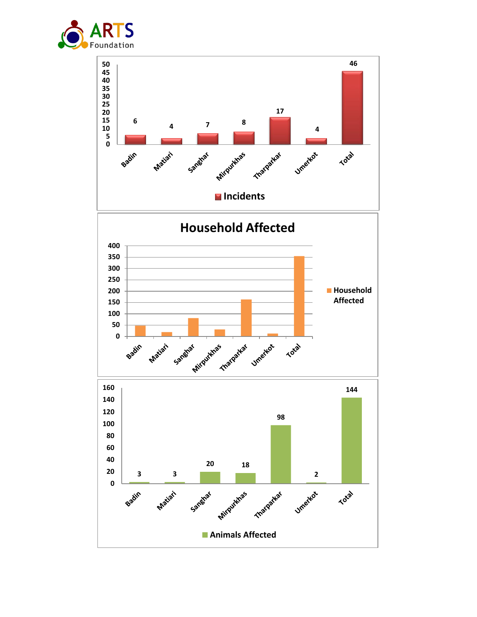

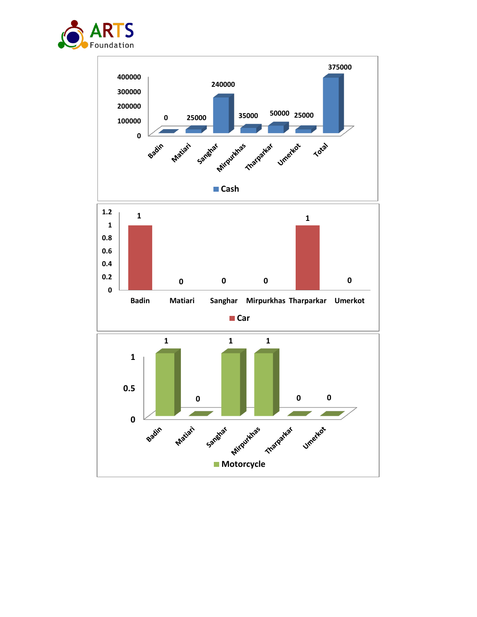